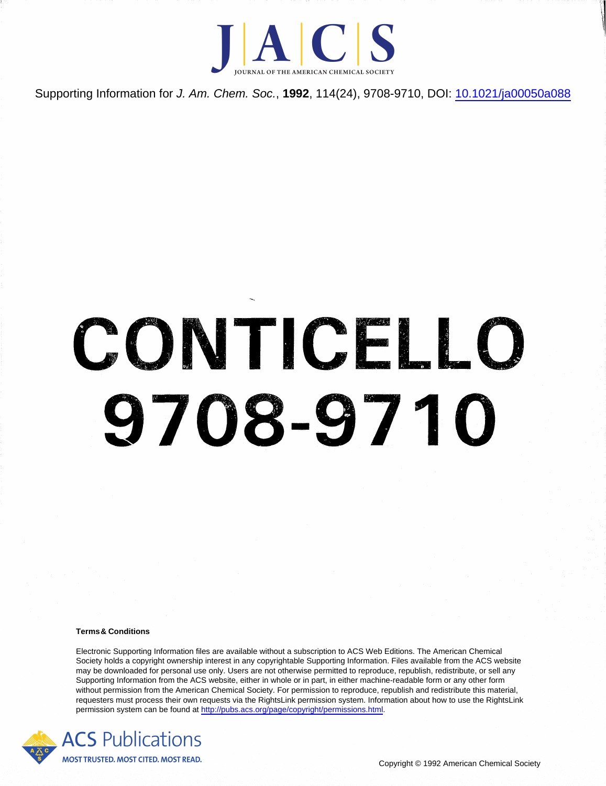

Supporting Information for J. Am. Chem. Soc., **1992**, 114(24), 9708-9710, DOI: [10.1021/ja00050a088](http://dx.doi.org/10.1021/ja00050a088)

# **CONTICELLO 9708-9710**

#### **Terms& Conditions**

Electronic Supporting Information files are available without a subscription to ACS Web Editions. The American Chemical Society holds a copyright ownership interest in any copyrightable Supporting Information. Files available from the ACS website may be downloaded for personal use only. Users are not otherwise permitted to reproduce, republish, redistribute, or sell any Supporting Information from the ACS website, either in whole or in part, in either machine-readable form or any other form without permission from the American Chemical Society. For permission to reproduce, republish and redistribute this material, requesters must process their own requests via the RightsLink permission system. Information about how to use the RightsLink permission system can be found at [http://pubs.acs.org/page/copyright/permissions.html.](http://pubs.acs.org/page/copyright/permissions.html)

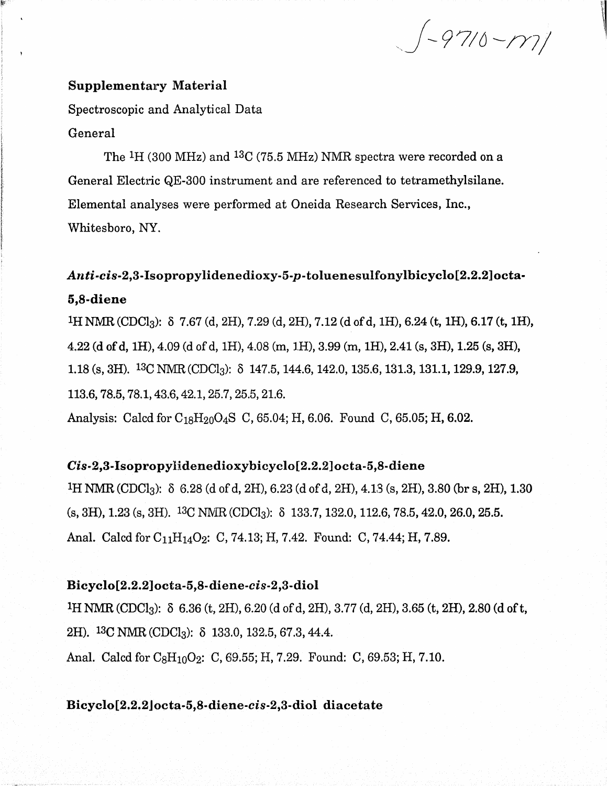$(-9710 - 177)$ 

#### **Supplementary Material**

Spectroscopic and Analytical Data **General** 

The <sup>1</sup>H (300 MHz) and <sup>13</sup>C (75.5 MHz) NMR spectra were recorded on a General Electric QE-300 instrument and are referenced to tetramethylsilane. Elemental analyses were performed at Oneida Research Services, Inc., Whitesboro, NY.

## Anti-cis-2,3-Isopropylidenedioxy-5-p-toluenesulfonylbicyclo[2.2.2]octa-**5,8-diene**

<sup>1</sup>H NMR (CDCl<sub>3</sub>):  $\delta$  7.67 (d, 2H), 7.29 (d, 2H), 7.12 (d of d, 1H), 6.24 (t, 1H), 6.17 (t, 1H), 4.22 (d of d, IH), 4.09 (d of d, IH), 4.08 (m, IH), 3.99 (m, IH), 2.41 (s, 3H), 1.25 (s, 3H), 1.18 (s, 3H). <sup>13</sup>C NMR (CDCl<sub>3</sub>):  $\delta$  147.5, 144.6, 142.0, 135.6, 131.3, 131.1, 129.9, 127.9, 113.6,78.5,78.1,43.6,42.1,25.7,25.5,21.6. Analysis: Calcd for  $C_{18}H_{20}O_4S$  C, 65.04; H, 6.06. Found C, 65.05; H, 6.02.

#### **Cis-2,3-Xsopropyiidenedioxybieyclo[2.2.2]octa-5,8-diene**

<sup>1</sup>H NMR (CDCl<sub>3</sub>):  $\delta$  6.28 (d of d, 2H), 6.23 (d of d, 2H), 4.13 (s, 2H), 3.80 (br s, 2H), 1.30  $(s, 3H), 1.23 (s, 3H).$  13C NMR (CDCl<sub>3</sub>):  $\delta$  133.7, 132.0, 112.6, 78.5, 42.0, 26.0, 25.5. Anal. Calcd for C<sub>11</sub>H<sub>14</sub>O<sub>2</sub>: C, 74.13; H, 7.42. Found: C, 74.44; H, 7.89.

#### **Bicyclo[2.2.2]octa-5,8-diene-cis-2,3-diol**

<sup>1</sup>H NMR (CDCl<sub>3</sub>):  $\delta$  6.36 (t, 2H), 6.20 (d of d, 2H), 3.77 (d, 2H), 3.65 (t, 2H), 2.80 (d of t, 2H).  ${}^{13}C$  NMR (CDCl<sub>3</sub>):  $\delta$  133.0, 132.5, 67.3, 44.4. Anal. Calcd for  $C_8H_{10}O_2$ : C, 69.55; H, 7.29. Found: C, 69.53; H, 7.10.

#### Bicyclo<sup>[2.2.2</sup>]octa-5,8-diene-cis-2,3-diol diacetate